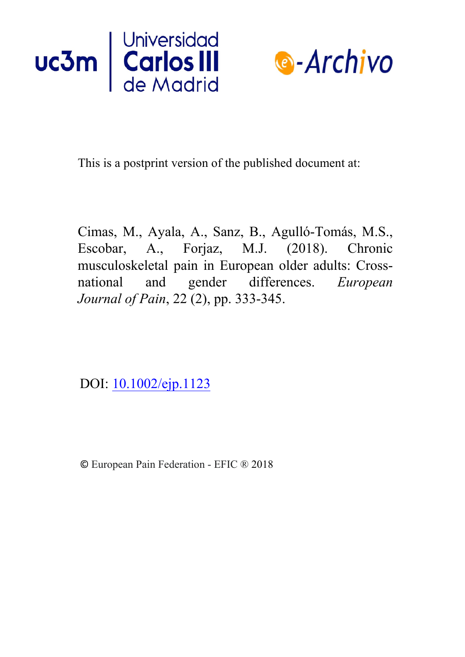



This is a postprint version of the published document at:

Cimas, M., Ayala, A., Sanz, B., Agulló-Tomás, M.S., Escobar, A., Forjaz, M.J. (2018). Chronic musculoskeletal pain in European older adults: Crossnational and gender differences. *European Journal of Pain*, 22 (2), pp. [333-345.](https://doi.org/10.1016/j.is.2017.09.002) 

DOI: [10.1002/ejp.1123](https://doi.org/10.1002/ejp.1123)

© European Pain Federation - EFIC ® 2018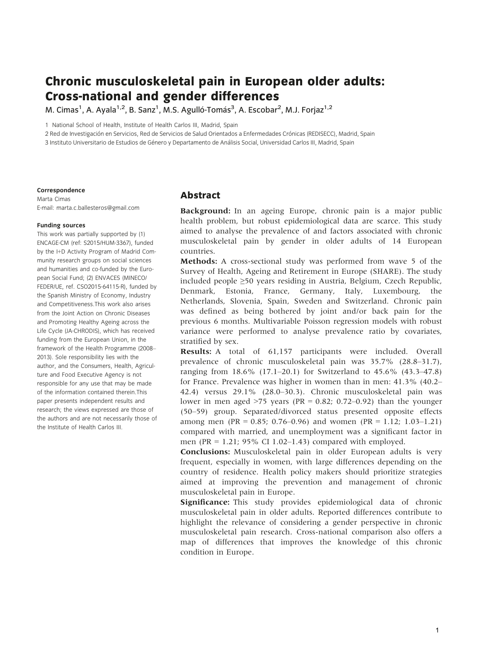# Chronic musculoskeletal pain in European older adults: Cross-national and gender differences

M. Cimas<sup>1</sup>, A. Ayala<sup>1,2</sup>, B. Sanz<sup>1</sup>, M.S. Agulló-Tomás<sup>3</sup>, A. Escobar<sup>2</sup>, M.J. Forjaz<sup>1,2</sup>

1 National School of Health, Institute of Health Carlos III, Madrid, Spain

2 Red de Investigacion en Servicios, Red de Servicios de Salud Orientados a Enfermedades Cronicas (REDISECC), Madrid, Spain

3 Instituto Universitario de Estudios de Género y Departamento de Análisis Social, Universidad Carlos III, Madrid, Spain

#### **Correspondence**

Marta Cimas E-mail: marta.c.ballesteros@gmail.com

#### Funding sources

This work was partially supported by (1) ENCAGE-CM (ref: S2015/HUM-3367), funded by the I+D Activity Program of Madrid Community research groups on social sciences and humanities and co-funded by the European Social Fund; (2) ENVACES (MINECO/ FEDER/UE, ref. CSO2015-64115-R), funded by the Spanish Ministry of Economy, Industry and Competitiveness.This work also arises from the Joint Action on Chronic Diseases and Promoting Healthy Ageing across the Life Cycle (JA-CHRODIS), which has received funding from the European Union, in the framework of the Health Programme (2008– 2013). Sole responsibility lies with the author, and the Consumers, Health, Agriculture and Food Executive Agency is not responsible for any use that may be made of the information contained therein.This paper presents independent results and research; the views expressed are those of the authors and are not necessarily those of the Institute of Health Carlos III.

### Abstract

Background: In an ageing Europe, chronic pain is a major public health problem, but robust epidemiological data are scarce. This study aimed to analyse the prevalence of and factors associated with chronic musculoskeletal pain by gender in older adults of 14 European countries.

Methods: A cross-sectional study was performed from wave 5 of the Survey of Health, Ageing and Retirement in Europe (SHARE). The study included people ≥50 years residing in Austria, Belgium, Czech Republic, Denmark, Estonia, France, Germany, Italy, Luxembourg, the Netherlands, Slovenia, Spain, Sweden and Switzerland. Chronic pain was defined as being bothered by joint and/or back pain for the previous 6 months. Multivariable Poisson regression models with robust variance were performed to analyse prevalence ratio by covariates, stratified by sex.

Results: A total of 61,157 participants were included. Overall prevalence of chronic musculoskeletal pain was 35.7% (28.8–31.7), ranging from 18.6% (17.1–20.1) for Switzerland to 45.6% (43.3–47.8) for France. Prevalence was higher in women than in men: 41.3% (40.2– 42.4) versus 29.1% (28.0–30.3). Chronic musculoskeletal pain was lower in men aged  $>75$  years (PR = 0.82; 0.72–0.92) than the younger (50–59) group. Separated/divorced status presented opposite effects among men (PR =  $0.85$ ; 0.76–0.96) and women (PR = 1.12; 1.03–1.21) compared with married, and unemployment was a significant factor in men (PR = 1.21; 95% CI 1.02–1.43) compared with employed.

Conclusions: Musculoskeletal pain in older European adults is very frequent, especially in women, with large differences depending on the country of residence. Health policy makers should prioritize strategies aimed at improving the prevention and management of chronic musculoskeletal pain in Europe.

Significance: This study provides epidemiological data of chronic musculoskeletal pain in older adults. Reported differences contribute to highlight the relevance of considering a gender perspective in chronic musculoskeletal pain research. Cross-national comparison also offers a map of differences that improves the knowledge of this chronic condition in Europe.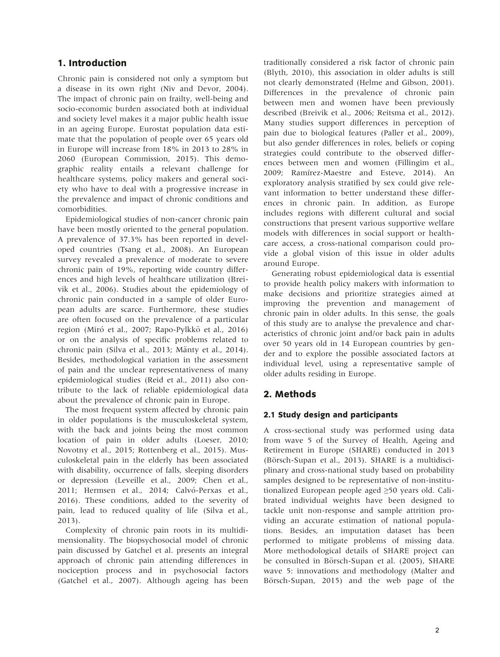# 1. Introduction

Chronic pain is considered not only a symptom but a disease in its own right (Niv and Devor, 2004). The impact of chronic pain on frailty, well-being and socio-economic burden associated both at individual and society level makes it a major public health issue in an ageing Europe. Eurostat population data estimate that the population of people over 65 years old in Europe will increase from 18% in 2013 to 28% in 2060 (European Commission, 2015). This demographic reality entails a relevant challenge for healthcare systems, policy makers and general society who have to deal with a progressive increase in the prevalence and impact of chronic conditions and comorbidities.

Epidemiological studies of non-cancer chronic pain have been mostly oriented to the general population. A prevalence of 37.3% has been reported in developed countries (Tsang et al., 2008). An European survey revealed a prevalence of moderate to severe chronic pain of 19%, reporting wide country differences and high levels of healthcare utilization (Breivik et al., 2006). Studies about the epidemiology of chronic pain conducted in a sample of older European adults are scarce. Furthermore, these studies are often focused on the prevalence of a particular region (Miró et al., 2007; Rapo-Pylkkö et al., 2016) or on the analysis of specific problems related to chronic pain (Silva et al., 2013; Mänty et al., 2014). Besides, methodological variation in the assessment of pain and the unclear representativeness of many epidemiological studies (Reid et al., 2011) also contribute to the lack of reliable epidemiological data about the prevalence of chronic pain in Europe.

The most frequent system affected by chronic pain in older populations is the musculoskeletal system, with the back and joints being the most common location of pain in older adults (Loeser, 2010; Novotny et al., 2015; Rottenberg et al., 2015). Musculoskeletal pain in the elderly has been associated with disability, occurrence of falls, sleeping disorders or depression (Leveille et al., 2009; Chen et al., 2011; Hermsen et al., 2014; Calvó-Perxas et al., 2016). These conditions, added to the severity of pain, lead to reduced quality of life (Silva et al., 2013).

Complexity of chronic pain roots in its multidimensionality. The biopsychosocial model of chronic pain discussed by Gatchel et al. presents an integral approach of chronic pain attending differences in nociception process and in psychosocial factors (Gatchel et al., 2007). Although ageing has been

traditionally considered a risk factor of chronic pain (Blyth, 2010), this association in older adults is still not clearly demonstrated (Helme and Gibson, 2001). Differences in the prevalence of chronic pain between men and women have been previously described (Breivik et al., 2006; Reitsma et al., 2012). Many studies support differences in perception of pain due to biological features (Paller et al., 2009), but also gender differences in roles, beliefs or coping strategies could contribute to the observed differences between men and women (Fillingim et al., 2009; Ramírez-Maestre and Esteve, 2014). An exploratory analysis stratified by sex could give relevant information to better understand these differences in chronic pain. In addition, as Europe includes regions with different cultural and social constructions that present various supportive welfare models with differences in social support or healthcare access, a cross-national comparison could provide a global vision of this issue in older adults around Europe.

Generating robust epidemiological data is essential to provide health policy makers with information to make decisions and prioritize strategies aimed at improving the prevention and management of chronic pain in older adults. In this sense, the goals of this study are to analyse the prevalence and characteristics of chronic joint and/or back pain in adults over 50 years old in 14 European countries by gender and to explore the possible associated factors at individual level, using a representative sample of older adults residing in Europe.

# 2. Methods

# 2.1 Study design and participants

A cross-sectional study was performed using data from wave 5 of the Survey of Health, Ageing and Retirement in Europe (SHARE) conducted in 2013 (Börsch-Supan et al., 2013). SHARE is a multidisciplinary and cross-national study based on probability samples designed to be representative of non-institutionalized European people aged ≥50 years old. Calibrated individual weights have been designed to tackle unit non-response and sample attrition providing an accurate estimation of national populations. Besides, an imputation dataset has been performed to mitigate problems of missing data. More methodological details of SHARE project can be consulted in Börsch-Supan et al. (2005), SHARE wave 5: innovations and methodology (Malter and Börsch-Supan, 2015) and the web page of the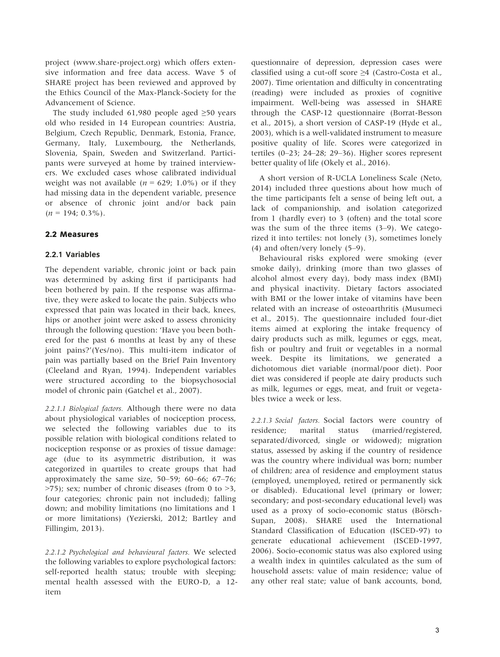project ([www.share-project.org\)](http://www.share-project.org) which offers extensive information and free data access. Wave 5 of SHARE project has been reviewed and approved by the Ethics Council of the Max-Planck-Society for the Advancement of Science.

The study included 61,980 people aged  $\geq 50$  years old who resided in 14 European countries: Austria, Belgium, Czech Republic, Denmark, Estonia, France, Germany, Italy, Luxembourg, the Netherlands, Slovenia, Spain, Sweden and Switzerland. Participants were surveyed at home by trained interviewers. We excluded cases whose calibrated individual weight was not available ( $n = 629$ ; 1.0%) or if they had missing data in the dependent variable, presence or absence of chronic joint and/or back pain  $(n = 194; 0.3\%)$ .

### 2.2 Measures

### 2.2.1 Variables

The dependent variable, chronic joint or back pain was determined by asking first if participants had been bothered by pain. If the response was affirmative, they were asked to locate the pain. Subjects who expressed that pain was located in their back, knees, hips or another joint were asked to assess chronicity through the following question: 'Have you been bothered for the past 6 months at least by any of these joint pains?'(Yes/no). This multi-item indicator of pain was partially based on the Brief Pain Inventory (Cleeland and Ryan, 1994). Independent variables were structured according to the biopsychosocial model of chronic pain (Gatchel et al., 2007).

>75); sex; number of chronic diseases (from 0 to >3, four categories; chronic pain not included); falling down; and mobility limitations (no limitations and 1 or more limitations) (Yezierski, 2012; Bartley and Fillingim, 2013). 2.2.1.1 Biological factors. Although there were no data about physiological variables of nociception process, we selected the following variables due to its possible relation with biological conditions related to nociception response or as proxies of tissue damage: age (due to its asymmetric distribution, it was categorized in quartiles to create groups that had approximately the same size, 50–59; 60–66; 67–76;

2.2.1.2 Psychological and behavioural factors. We selected the following variables to explore psychological factors: self-reported health status; trouble with sleeping; mental health assessed with the EURO-D, a 12 item

questionnaire of depression, depression cases were classified using a cut-off score ≥4 (Castro-Costa et al., 2007). Time orientation and difficulty in concentrating (reading) were included as proxies of cognitive impairment. Well-being was assessed in SHARE through the CASP-12 questionnaire (Borrat-Besson et al., 2015), a short version of CASP-19 (Hyde et al., 2003), which is a well-validated instrument to measure positive quality of life. Scores were categorized in tertiles (0–23; 24–28; 29–36). Higher scores represent better quality of life (Okely et al., 2016).

A short version of R-UCLA Loneliness Scale (Neto, 2014) included three questions about how much of the time participants felt a sense of being left out, a lack of companionship, and isolation categorized from 1 (hardly ever) to 3 (often) and the total score was the sum of the three items (3–9). We categorized it into tertiles: not lonely (3), sometimes lonely (4) and often/very lonely (5–9).

Behavioural risks explored were smoking (ever smoke daily), drinking (more than two glasses of alcohol almost every day), body mass index (BMI) and physical inactivity. Dietary factors associated with BMI or the lower intake of vitamins have been related with an increase of osteoarthritis (Musumeci et al., 2015). The questionnaire included four-diet items aimed at exploring the intake frequency of dairy products such as milk, legumes or eggs, meat, fish or poultry and fruit or vegetables in a normal week. Despite its limitations, we generated a dichotomous diet variable (normal/poor diet). Poor diet was considered if people ate dairy products such as milk, legumes or eggs, meat, and fruit or vegetables twice a week or less.

2.2.1.3 Social factors. Social factors were country of residence; marital status (married/registered, separated/divorced, single or widowed); migration status, assessed by asking if the country of residence was the country where individual was born; number of children; area of residence and employment status (employed, unemployed, retired or permanently sick or disabled). Educational level (primary or lower; secondary; and post-secondary educational level) was used as a proxy of socio-economic status (Börsch-Supan, 2008). SHARE used the International Standard Classification of Education (ISCED-97) to generate educational achievement (ISCED-1997, 2006). Socio-economic status was also explored using a wealth index in quintiles calculated as the sum of household assets: value of main residence; value of any other real state; value of bank accounts, bond,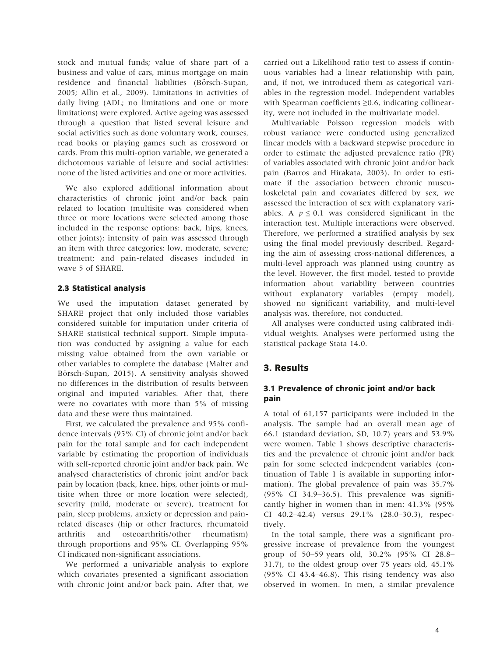stock and mutual funds; value of share part of a business and value of cars, minus mortgage on main residence and financial liabilities (Börsch-Supan, 2005; Allin et al., 2009). Limitations in activities of daily living (ADL; no limitations and one or more limitations) were explored. Active ageing was assessed through a question that listed several leisure and social activities such as done voluntary work, courses, read books or playing games such as crossword or cards. From this multi-option variable, we generated a dichotomous variable of leisure and social activities: none of the listed activities and one or more activities.

We also explored additional information about characteristics of chronic joint and/or back pain related to location (multisite was considered when three or more locations were selected among those included in the response options: back, hips, knees, other joints); intensity of pain was assessed through an item with three categories: low, moderate, severe; treatment; and pain-related diseases included in wave 5 of SHARE.

### 2.3 Statistical analysis

We used the imputation dataset generated by SHARE project that only included those variables considered suitable for imputation under criteria of SHARE statistical technical support. Simple imputation was conducted by assigning a value for each missing value obtained from the own variable or other variables to complete the database (Malter and Börsch-Supan, 2015). A sensitivity analysis showed no differences in the distribution of results between original and imputed variables. After that, there were no covariates with more than 5% of missing data and these were thus maintained.

First, we calculated the prevalence and 95% confidence intervals (95% CI) of chronic joint and/or back pain for the total sample and for each independent variable by estimating the proportion of individuals with self-reported chronic joint and/or back pain. We analysed characteristics of chronic joint and/or back pain by location (back, knee, hips, other joints or multisite when three or more location were selected), severity (mild, moderate or severe), treatment for pain, sleep problems, anxiety or depression and painrelated diseases (hip or other fractures, rheumatoid arthritis and osteoarthritis/other rheumatism) through proportions and 95% CI. Overlapping 95% CI indicated non-significant associations.

We performed a univariable analysis to explore which covariates presented a significant association with chronic joint and/or back pain. After that, we carried out a Likelihood ratio test to assess if continuous variables had a linear relationship with pain, and, if not, we introduced them as categorical variables in the regression model. Independent variables with Spearman coefficients >0.6, indicating collinearity, were not included in the multivariate model.

Multivariable Poisson regression models with robust variance were conducted using generalized linear models with a backward stepwise procedure in order to estimate the adjusted prevalence ratio (PR) of variables associated with chronic joint and/or back pain (Barros and Hirakata, 2003). In order to estimate if the association between chronic musculoskeletal pain and covariates differed by sex, we assessed the interaction of sex with explanatory variables. A  $p \leq 0.1$  was considered significant in the interaction test. Multiple interactions were observed. Therefore, we performed a stratified analysis by sex using the final model previously described. Regarding the aim of assessing cross-national differences, a multi-level approach was planned using country as the level. However, the first model, tested to provide information about variability between countries without explanatory variables (empty model), showed no significant variability, and multi-level analysis was, therefore, not conducted.

All analyses were conducted using calibrated individual weights. Analyses were performed using the statistical package Stata 14.0.

# 3. Results

### 3.1 Prevalence of chronic joint and/or back pain

A total of 61,157 participants were included in the analysis. The sample had an overall mean age of 66.1 (standard deviation, SD, 10.7) years and 53.9% were women. Table 1 shows descriptive characteristics and the prevalence of chronic joint and/or back pain for some selected independent variables (continuation of Table 1 is available in supporting information). The global prevalence of pain was 35.7% (95% CI 34.9–36.5). This prevalence was significantly higher in women than in men: 41.3% (95% CI 40.2–42.4) versus 29.1% (28.0–30.3), respectively.

In the total sample, there was a significant progressive increase of prevalence from the youngest group of 50–59 years old, 30.2% (95% CI 28.8– 31.7), to the oldest group over 75 years old, 45.1% (95% CI 43.4–46.8). This rising tendency was also observed in women. In men, a similar prevalence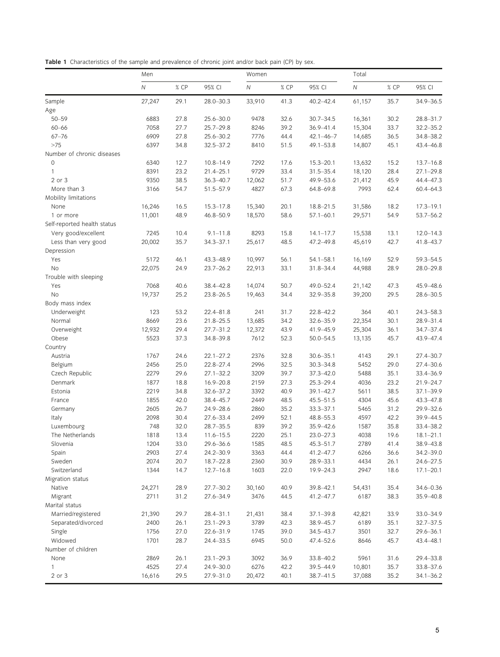Table 1 Characteristics of the sample and prevalence of chronic joint and/or back pain (CP) by sex.

|                             | Men      |      |               | Women      |      |                 | Total      |      |               |
|-----------------------------|----------|------|---------------|------------|------|-----------------|------------|------|---------------|
|                             | $\cal N$ | % CP | 95% CI        | ${\cal N}$ | % CP | 95% CI          | ${\cal N}$ | % CP | 95% CI        |
| Sample                      | 27,247   | 29.1 | 28.0-30.3     | 33,910     | 41.3 | $40.2 - 42.4$   | 61,157     | 35.7 | 34.9-36.5     |
| Age                         |          |      |               |            |      |                 |            |      |               |
| $50 - 59$                   | 6883     | 27.8 | 25.6-30.0     | 9478       | 32.6 | $30.7 - 34.5$   | 16,361     | 30.2 | 28.8-31.7     |
| $60 - 66$                   | 7058     | 27.7 | $25.7 - 29.8$ | 8246       | 39.2 | 36.9-41.4       | 15,304     | 33.7 | $32.2 - 35.2$ |
| $67 - 76$                   | 6909     | 27.8 | 25.6-30.2     | 7776       | 44.4 | $42.1 - 46 - 7$ | 14,685     | 36.5 | 34.8-38.2     |
| >75                         | 6397     | 34.8 | 32.5 - 37.2   | 8410       | 51.5 | 49.1-53.8       | 14,807     | 45.1 | 43.4-46.8     |
| Number of chronic diseases  |          |      |               |            |      |                 |            |      |               |
| $\mathbf 0$                 | 6340     | 12.7 | 10.8-14.9     | 7292       | 17.6 | $15.3 - 20.1$   | 13,632     | 15.2 | $13.7 - 16.8$ |
| $\mathbf{1}$                | 8391     | 23.2 | $21.4 - 25.1$ | 9729       | 33.4 | $31.5 - 35.4$   | 18,120     | 28.4 | $27.1 - 29.8$ |
| 2 or 3                      | 9350     | 38.5 | $36.3 - 40.7$ | 12,062     | 51.7 | 49.9-53.6       | 21,412     | 45.9 | 44.4-47.3     |
| More than 3                 | 3166     | 54.7 | 51.5-57.9     | 4827       | 67.3 | 64.8-69.8       | 7993       | 62.4 | $60.4 - 64.3$ |
| Mobility limitations        |          |      |               |            |      |                 |            |      |               |
| None                        | 16,246   | 16.5 | $15.3 - 17.8$ | 15,340     | 20.1 | $18.8 - 21.5$   | 31,586     | 18.2 | $17.3 - 19.1$ |
| 1 or more                   | 11,001   | 48.9 | 46.8-50.9     | 18,570     | 58.6 | $57.1 - 60.1$   | 29,571     | 54.9 | $53.7 - 56.2$ |
| Self-reported health status |          |      |               |            |      |                 |            |      |               |
| Very good/excellent         | 7245     | 10.4 | $9.1 - 11.8$  | 8293       | 15.8 | $14.1 - 17.7$   | 15,538     | 13.1 | $12.0 - 14.3$ |
| Less than very good         | 20,002   | 35.7 | $34.3 - 37.1$ | 25,617     | 48.5 | 47.2-49.8       | 45,619     | 42.7 | 41.8-43.7     |
| Depression                  |          |      |               |            |      |                 |            |      |               |
| Yes                         | 5172     | 46.1 | 43.3-48.9     | 10,997     | 56.1 | $54.1 - 58.1$   | 16,169     | 52.9 | $59.3 - 54.5$ |
| No                          | 22,075   | 24.9 | $23.7 - 26.2$ | 22,913     | 33.1 | 31.8-34.4       | 44,988     | 28.9 | $28.0 - 29.8$ |
| Trouble with sleeping       |          |      |               |            |      |                 |            |      |               |
| Yes                         | 7068     | 40.6 | 38.4 - 42.8   | 14,074     | 50.7 | 49.0-52.4       | 21,142     | 47.3 | 45.9-48.6     |
| <b>No</b>                   | 19,737   | 25.2 | $23.8 - 26.5$ | 19,463     | 34.4 | 32.9 - 35.8     | 39,200     | 29.5 | 28.6-30.5     |
| Body mass index             |          |      |               |            |      |                 |            |      |               |
| Underweight                 | 123      | 53.2 | $22.4 - 81.8$ | 241        | 31.7 | 22.8-42.2       | 364        | 40.1 | $24.3 - 58.3$ |
| Normal                      | 8669     | 23.6 | $21.8 - 25.5$ | 13,685     | 34.2 | 32.6-35.9       | 22,354     | 30.1 | 28.9-31.4     |
| Overweight                  | 12,932   | 29.4 | $27.7 - 31.2$ | 12,372     | 43.9 | 41.9-45.9       | 25,304     | 36.1 | 34.7-37.4     |
| Obese                       | 5523     | 37.3 | 34.8-39.8     | 7612       | 52.3 | $50.0 - 54.5$   | 13,135     | 45.7 | 43.9-47.4     |
| Country                     |          |      |               |            |      |                 |            |      |               |
| Austria                     | 1767     | 24.6 | $22.1 - 27.2$ | 2376       | 32.8 | $30.6 - 35.1$   | 4143       | 29.1 | 27.4-30.7     |
| Belgium                     | 2456     | 25.0 | $22.8 - 27.4$ | 2996       | 32.5 | $30.3 - 34.8$   | 5452       | 29.0 | 27.4-30.6     |
| Czech Republic              | 2279     | 29.6 | $27.1 - 32.2$ | 3209       | 39.7 | $37.3 - 42.0$   | 5488       | 35.1 | 33.4-36.9     |
| Denmark                     | 1877     | 18.8 | $16.9 - 20.8$ | 2159       | 27.3 | $25.3 - 29.4$   | 4036       | 23.2 | $21.9 - 24.7$ |
| Estonia                     | 2219     | 34.8 | 32.6-37.2     | 3392       | 40.9 | 39.1-42.7       | 5611       | 38.5 | $37.1 - 39.9$ |
| France                      | 1855     | 42.0 | 38.4-45.7     | 2449       | 48.5 | $45.5 - 51.5$   | 4304       | 45.6 | 43.3-47.8     |
| Germany                     | 2605     | 26.7 | 24.9-28.6     | 2860       | 35.2 | 33.3-37.1       | 5465       | 31.2 | 29.9-32.6     |
| Italy                       | 2098     | 30.4 | 27.6-33.4     | 2499       | 52.1 | 48.8-55.3       | 4597       | 42.2 | 39.9-44.5     |
| Luxembourg                  | 748      | 32.0 | $28.7 - 35.5$ | 839        | 39.2 | 35.9-42.6       | 1587       | 35.8 | 33.4 - 38.2   |
| The Netherlands             | 1818     | 13.4 | $11.6 - 15.5$ | 2220       | 25.1 | $23.0 - 27.3$   | 4038       | 19.6 | $18.1 - 21.1$ |
| Slovenia                    | 1204     | 33.0 | 29.6-36.6     | 1585       | 48.5 | 45.3-51.7       | 2789       | 41.4 | 38.9-43.8     |
| Spain                       | 2903     | 27.4 | 24.2-30.9     | 3363       | 44.4 | $41.2 - 47.7$   | 6266       | 36.6 | 34.2-39.0     |
| Sweden                      | 2074     | 20.7 | $18.7 - 22.8$ | 2360       | 30.9 | 28.9-33.1       | 4434       | 26.1 | $24.6 - 27.5$ |
| Switzerland                 | 1344     | 14.7 | $12.7 - 16.8$ | 1603       | 22.0 | 19.9-24.3       | 2947       | 18.6 | $17.1 - 20.1$ |
| Migration status            |          |      |               |            |      |                 |            |      |               |
| Native                      | 24,271   | 28.9 | $27.7 - 30.2$ | 30,160     | 40.9 | 39.8-42.1       | 54,431     | 35.4 | 34.6-0.36     |
| Migrant                     | 2711     | 31.2 | 27.6-34.9     | 3476       | 44.5 | 41.2-47.7       | 6187       | 38.3 | 35.9-40.8     |
| Marital status              |          |      |               |            |      |                 |            |      |               |
| Married/registered          | 21,390   | 29.7 | 28.4-31.1     | 21,431     | 38.4 | $37.1 - 39.8$   | 42,821     | 33.9 | 33.0-34.9     |
| Separated/divorced          | 2400     | 26.1 | $23.1 - 29.3$ | 3789       | 42.3 | 38.9-45.7       | 6189       | 35.1 | $32.7 - 37.5$ |
| Single                      | 1756     | 27.0 | 22.6-31.9     | 1745       | 39.0 | 34.5-43.7       | 3501       | 32.7 | 29.6-36.1     |
| Widowed                     | 1701     | 28.7 | 24.4 - 33.5   | 6945       | 50.0 | 47.4-52.6       | 8646       | 45.7 | 43.4-48.1     |
| Number of children          |          |      |               |            |      |                 |            |      |               |
| None                        | 2869     | 26.1 | $23.1 - 29.3$ | 3092       | 36.9 | 33.8-40.2       | 5961       | 31.6 | 29.4-33.8     |
| $\mathbf{1}$                |          |      |               |            |      | 39.5-44.9       |            |      |               |
|                             | 4525     | 27.4 | 24.9-30.0     | 6276       | 42.2 |                 | 10,801     | 35.7 | 33.8-37.6     |
| 2 or 3                      | 16,616   | 29.5 | 27.9-31.0     | 20,472     | 40.1 | 38.7-41.5       | 37,088     | 35.2 | $34.1 - 36.2$ |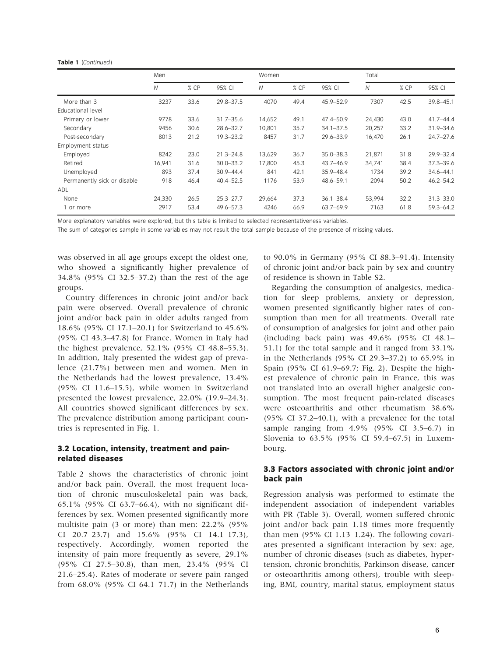#### Table 1 (Continued)

|                             | Men            |      |               | Women        |      |               | Total        |      |               |
|-----------------------------|----------------|------|---------------|--------------|------|---------------|--------------|------|---------------|
|                             | $\overline{N}$ | % CP | 95% CI        | $\mathcal N$ | % CP | 95% CI        | $\mathcal N$ | % CP | 95% CI        |
| More than 3                 | 3237           | 33.6 | 29.8 - 37.5   | 4070         | 49.4 | 45.9-52.9     | 7307         | 42.5 | 39.8-45.1     |
| Educational level           |                |      |               |              |      |               |              |      |               |
| Primary or lower            | 9778           | 33.6 | $31.7 - 35.6$ | 14,652       | 49.1 | 47.4-50.9     | 24,430       | 43.0 | $41.7 - 44.4$ |
| Secondary                   | 9456           | 30.6 | 28.6-32.7     | 10,801       | 35.7 | $34.1 - 37.5$ | 20,257       | 33.2 | $31.9 - 34.6$ |
| Post-secondary              | 8013           | 21.2 | $19.3 - 23.2$ | 8457         | 31.7 | $29.6 - 33.9$ | 16,470       | 26.1 | $24.7 - 27.6$ |
| Employment status           |                |      |               |              |      |               |              |      |               |
| Employed                    | 8242           | 23.0 | $21.3 - 24.8$ | 13,629       | 36.7 | $35.0 - 38.3$ | 21,871       | 31.8 | 29.9-32.4     |
| Retired                     | 16,941         | 31.6 | $30.0 - 33.2$ | 17,800       | 45.3 | $43.7 - 46.9$ | 34,741       | 38.4 | $37.3 - 39.6$ |
| Unemployed                  | 893            | 37.4 | 30.9-44.4     | 841          | 42.1 | 35.9-48.4     | 1734         | 39.2 | 34.6-44.1     |
| Permanently sick or disable | 918            | 46.4 | $40.4 - 52.5$ | 1176         | 53.9 | $48.6 - 59.1$ | 2094         | 50.2 | $46.2 - 54.2$ |
| ADL                         |                |      |               |              |      |               |              |      |               |
| None                        | 24,330         | 26.5 | $25.3 - 27.7$ | 29,664       | 37.3 | $36.1 - 38.4$ | 53,994       | 32.2 | $31.3 - 33.0$ |
| 1 or more                   | 2917           | 53.4 | 49.6-57.3     | 4246         | 66.9 | 63.7-69.9     | 7163         | 61.8 | $59.3 - 64.2$ |

More explanatory variables were explored, but this table is limited to selected representativeness variables.

The sum of categories sample in some variables may not result the total sample because of the presence of missing values.

was observed in all age groups except the oldest one, who showed a significantly higher prevalence of 34.8% (95% CI 32.5–37.2) than the rest of the age groups.

Country differences in chronic joint and/or back pain were observed. Overall prevalence of chronic joint and/or back pain in older adults ranged from 18.6% (95% CI 17.1–20.1) for Switzerland to 45.6% (95% CI 43.3–47.8) for France. Women in Italy had the highest prevalence, 52.1% (95% CI 48.8–55.3). In addition, Italy presented the widest gap of prevalence (21.7%) between men and women. Men in the Netherlands had the lowest prevalence, 13.4% (95% CI 11.6–15.5), while women in Switzerland presented the lowest prevalence, 22.0% (19.9–24.3). All countries showed significant differences by sex. The prevalence distribution among participant countries is represented in Fig. 1.

### 3.2 Location, intensity, treatment and painrelated diseases

Table 2 shows the characteristics of chronic joint and/or back pain. Overall, the most frequent location of chronic musculoskeletal pain was back, 65.1% (95% CI 63.7–66.4), with no significant differences by sex. Women presented significantly more multisite pain (3 or more) than men: 22.2% (95% CI 20.7–23.7) and 15.6% (95% CI 14.1–17.3), respectively. Accordingly, women reported the intensity of pain more frequently as severe, 29.1% (95% CI 27.5–30.8), than men, 23.4% (95% CI 21.6–25.4). Rates of moderate or severe pain ranged from 68.0% (95% CI 64.1–71.7) in the Netherlands

to 90.0% in Germany (95% CI 88.3–91.4). Intensity of chronic joint and/or back pain by sex and country of residence is shown in Table S2.

Regarding the consumption of analgesics, medication for sleep problems, anxiety or depression, women presented significantly higher rates of consumption than men for all treatments. Overall rate of consumption of analgesics for joint and other pain (including back pain) was 49.6% (95% CI 48.1– 51.1) for the total sample and it ranged from 33.1% in the Netherlands (95% CI 29.3–37.2) to 65.9% in Spain (95% CI 61.9–69.7; Fig. 2). Despite the highest prevalence of chronic pain in France, this was not translated into an overall higher analgesic consumption. The most frequent pain-related diseases were osteoarthritis and other rheumatism 38.6% (95% CI 37.2–40.1), with a prevalence for the total sample ranging from 4.9% (95% CI 3.5–6.7) in Slovenia to 63.5% (95% CI 59.4–67.5) in Luxembourg.

### 3.3 Factors associated with chronic joint and/or back pain

Regression analysis was performed to estimate the independent association of independent variables with PR (Table 3). Overall, women suffered chronic joint and/or back pain 1.18 times more frequently than men (95% CI 1.13–1.24). The following covariates presented a significant interaction by sex: age, number of chronic diseases (such as diabetes, hypertension, chronic bronchitis, Parkinson disease, cancer or osteoarthritis among others), trouble with sleeping, BMI, country, marital status, employment status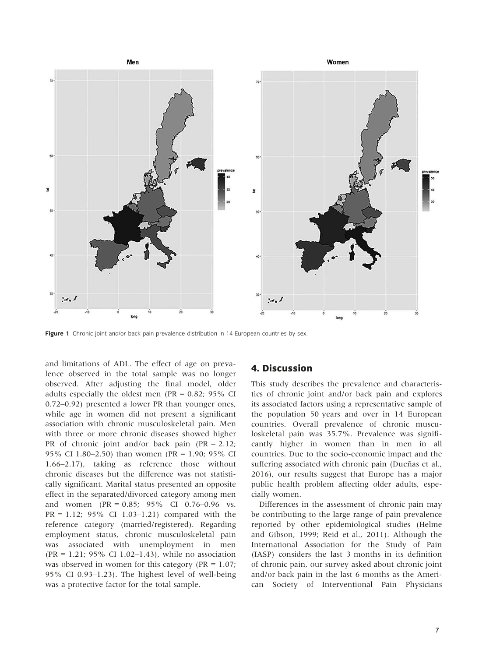

Figure 1 Chronic joint and/or back pain prevalence distribution in 14 European countries by sex.

and limitations of ADL. The effect of age on prevalence observed in the total sample was no longer observed. After adjusting the final model, older adults especially the oldest men (PR =  $0.82$ ; 95% CI 0.72–0.92) presented a lower PR than younger ones, while age in women did not present a significant association with chronic musculoskeletal pain. Men with three or more chronic diseases showed higher PR of chronic joint and/or back pain (PR = 2.12; 95% CI 1.80–2.50) than women (PR = 1.90; 95% CI 1.66–2.17), taking as reference those without chronic diseases but the difference was not statistically significant. Marital status presented an opposite effect in the separated/divorced category among men and women (PR = 0.85; 95% CI 0.76–0.96 vs.  $PR = 1.12$ ; 95% CI 1.03–1.21) compared with the reference category (married/registered). Regarding employment status, chronic musculoskeletal pain was associated with unemployment in men  $(PR = 1.21; 95\% \text{ CI } 1.02 - 1.43$ , while no association was observed in women for this category ( $PR = 1.07$ ; 95% CI 0.93–1.23). The highest level of well-being was a protective factor for the total sample.

### 4. Discussion

This study describes the prevalence and characteristics of chronic joint and/or back pain and explores its associated factors using a representative sample of the population 50 years and over in 14 European countries. Overall prevalence of chronic musculoskeletal pain was 35.7%. Prevalence was significantly higher in women than in men in all countries. Due to the socio-economic impact and the suffering associated with chronic pain (Dueñas et al., 2016), our results suggest that Europe has a major public health problem affecting older adults, especially women.

Differences in the assessment of chronic pain may be contributing to the large range of pain prevalence reported by other epidemiological studies (Helme and Gibson, 1999; Reid et al., 2011). Although the International Association for the Study of Pain (IASP) considers the last 3 months in its definition of chronic pain, our survey asked about chronic joint and/or back pain in the last 6 months as the American Society of Interventional Pain Physicians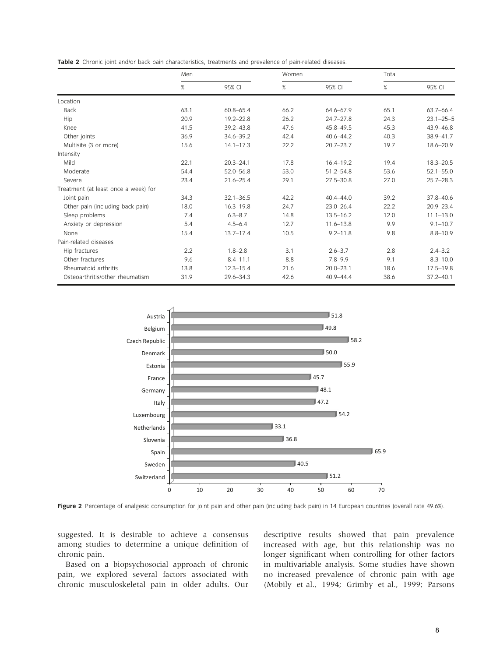|  |  |  |  |  | <b>Table 2</b> Chronic joint and/or back pain characteristics, treatments and prevalence of pain-related diseases. |  |  |  |
|--|--|--|--|--|--------------------------------------------------------------------------------------------------------------------|--|--|--|
|--|--|--|--|--|--------------------------------------------------------------------------------------------------------------------|--|--|--|

|                                      | Men  |               | Women |               | Total |                 |
|--------------------------------------|------|---------------|-------|---------------|-------|-----------------|
|                                      | %    | 95% CI        | %     | 95% CI        | %     | 95% CI          |
| Location                             |      |               |       |               |       |                 |
| <b>Back</b>                          | 63.1 | $60.8 - 65.4$ | 66.2  | $64.6 - 67.9$ | 65.1  | $63.7 - 66.4$   |
| Hip                                  | 20.9 | $19.2 - 22.8$ | 26.2  | $24.7 - 27.8$ | 24.3  | $23.1 - 25 - 5$ |
| Knee                                 | 41.5 | $39.2 - 43.8$ | 47.6  | 45.8-49.5     | 45.3  | 43.9-46.8       |
| Other joints                         | 36.9 | 34.6-39.2     | 42.4  | $40.6 - 44.2$ | 40.3  | 38.9-41.7       |
| Multisite (3 or more)                | 15.6 | $14.1 - 17.3$ | 22.2  | $20.7 - 23.7$ | 19.7  | $18.6 - 20.9$   |
| Intensity                            |      |               |       |               |       |                 |
| Mild                                 | 22.1 | $20.3 - 24.1$ | 17.8  | $16.4 - 19.2$ | 19.4  | $18.3 - 20.5$   |
| Moderate                             | 54.4 | $52.0 - 56.8$ | 53.0  | $51.2 - 54.8$ | 53.6  | $52.1 - 55.0$   |
| Severe                               | 23.4 | $21.6 - 25.4$ | 29.1  | $27.5 - 30.8$ | 27.0  | $25.7 - 28.3$   |
| Treatment (at least once a week) for |      |               |       |               |       |                 |
| Joint pain                           | 34.3 | $32.1 - 36.5$ | 42.2  | 40.4-44.0     | 39.2  | $37.8 - 40.6$   |
| Other pain (including back pain)     | 18.0 | $16.3 - 19.8$ | 24.7  | $23.0 - 26.4$ | 22.2  | $20.9 - 23.4$   |
| Sleep problems                       | 7.4  | $6.3 - 8.7$   | 14.8  | $13.5 - 16.2$ | 12.0  | $11.1 - 13.0$   |
| Anxiety or depression                | 5.4  | $4.5 - 6.4$   | 12.7  | $11.6 - 13.8$ | 9.9   | $9.1 - 10.7$    |
| None                                 | 15.4 | $13.7 - 17.4$ | 10.5  | $9.2 - 11.8$  | 9.8   | $8.8 - 10.9$    |
| Pain-related diseases                |      |               |       |               |       |                 |
| Hip fractures                        | 2.2  | $1.8 - 2.8$   | 3.1   | $2.6 - 3.7$   | 2.8   | $2.4 - 3.2$     |
| Other fractures                      | 9.6  | $8,4 - 11,1$  | 8.8   | $7.8 - 9.9$   | 9.1   | $8.3 - 10.0$    |
| Rheumatoid arthritis                 | 13.8 | $12.3 - 15.4$ | 21.6  | $20.0 - 23.1$ | 18.6  | $17.5 - 19.8$   |
| Osteoarthritis/other rheumatism      | 31.9 | 29.6-34.3     | 42.6  | 40.9-44.4     | 38.6  | $37.2 - 40.1$   |



Figure 2 Percentage of analgesic consumption for joint pain and other pain (including back pain) in 14 European countries (overall rate 49.6%).

suggested. It is desirable to achieve a consensus among studies to determine a unique definition of chronic pain.

Based on a biopsychosocial approach of chronic pain, we explored several factors associated with chronic musculoskeletal pain in older adults. Our

descriptive results showed that pain prevalence increased with age, but this relationship was no longer significant when controlling for other factors in multivariable analysis. Some studies have shown no increased prevalence of chronic pain with age (Mobily et al., 1994; Grimby et al., 1999; Parsons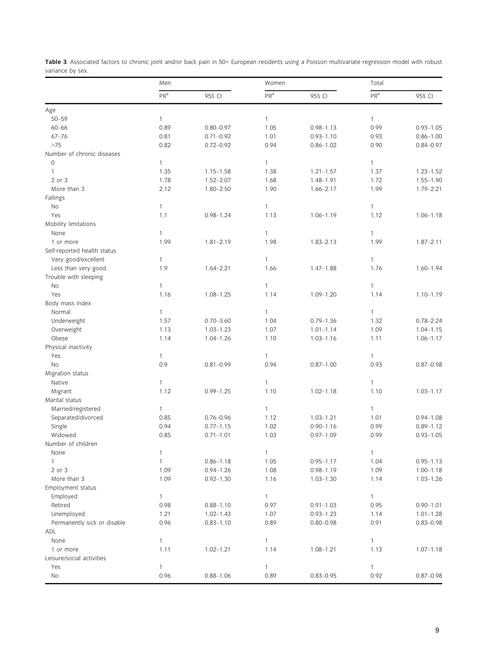|                             | Men             |               | Women           |               | Total           |               |
|-----------------------------|-----------------|---------------|-----------------|---------------|-----------------|---------------|
|                             | PR <sup>a</sup> | 95% CI        | PR <sup>a</sup> | 95% CI        | PR <sup>a</sup> | 95% CI        |
| Age                         |                 |               |                 |               |                 |               |
| $50 - 59$                   | $\mathbf{1}$    |               | $\mathbf{1}$    |               | $\mathbf{1}$    |               |
| $60 - 66$                   | 0.89            | $0.80 - 0.97$ | 1.05            | $0.98 - 1.13$ | 0.99            | $0.93 - 1.05$ |
| $67 - 76$                   | 0.81            | $0.71 - 0.92$ | 1.01            | $0.93 - 1.10$ | 0.93            | $0.86 - 1.00$ |
| >75                         | 0.82            | $0.72 - 0.92$ | 0.94            | $0.86 - 1.02$ | 0.90            | $0.84 - 0.97$ |
| Number of chronic diseases  |                 |               |                 |               |                 |               |
| $\mathbf{0}$                | 1               |               | $\mathbf{1}$    |               | $\mathbf{1}$    |               |
| $\mathbf{1}$                | 1.35            | $1.15 - 1.58$ | 1.38            | $1.21 - 1.57$ | 1.37            | $1.23 - 1.52$ |
| 2 or 3                      | 1.78            | $1.52 - 2.07$ | 1.68            | $1.48 - 1.91$ | 1.72            | $1.55 - 1.90$ |
| More than 3                 | 2.12            | $1.80 - 2.50$ | 1.90            | $1.66 - 2.17$ | 1.99            | $1.79 - 2.21$ |
|                             |                 |               |                 |               |                 |               |
| Fallings<br>No              |                 |               | $\mathbf{1}$    |               | $\mathbf{1}$    |               |
|                             | $\mathbf{1}$    |               |                 |               |                 |               |
| Yes                         | 1.1             | $0.98 - 1.24$ | 1.13            | $1.06 - 1.19$ | 1.12            | $1.06 - 1.18$ |
| Mobility limitations        |                 |               |                 |               |                 |               |
| None                        | 1               |               | $\mathbf{1}$    |               | $\mathbf{1}$    |               |
| 1 or more                   | 1.99            | $1.81 - 2.19$ | 1.98            | $1.83 - 2.13$ | 1.99            | $1.87 - 2.11$ |
| Self-reported health status |                 |               |                 |               |                 |               |
| Very good/excellent         | $\mathbf{1}$    |               | $\mathbf{1}$    |               | $\mathbf{1}$    |               |
| Less than very good         | 1.9             | $1.64 - 2.21$ | 1.66            | $1.47 - 1.88$ | 1.76            | $1.60 - 1.94$ |
| Trouble with sleeping       |                 |               |                 |               |                 |               |
| No                          | $\mathbf{1}$    |               | $\mathbf{1}$    |               | $\mathbf{1}$    |               |
| Yes                         | 1.16            | $1.08 - 1.25$ | 1.14            | $1.09 - 1.20$ | 1.14            | $1.10 - 1.19$ |
| Body mass index             |                 |               |                 |               |                 |               |
| Normal                      | $\mathbf{1}$    |               | $\mathbf{1}$    |               | $\mathbf{1}$    |               |
| Underweight                 | 1.57            | $0.70 - 3.60$ | 1.04            | $0.79 - 1.36$ | 1.32            | $0.78 - 2.24$ |
| Overweight                  | 1.13            | $1.03 - 1.23$ | 1.07            | $1.01 - 1.14$ | 1.09            | $1.04 - 1.15$ |
| Obese                       | 1.14            | $1.04 - 1.26$ | 1.10            | $1.03 - 1.16$ | 1.11            | $1.06 - 1.17$ |
| Physical inactivity         |                 |               |                 |               |                 |               |
| Yes                         | 1               |               | $\mathbf{1}$    |               | 1               |               |
| <b>No</b>                   | 0.9             | $0.81 - 0.99$ | 0.94            | $0.87 - 1.00$ | 0.93            | $0.87 - 0.98$ |
| Migration status            |                 |               |                 |               |                 |               |
| Native                      | $\mathbf{1}$    |               | $\mathbf{1}$    |               | $\mathbf{1}$    |               |
| Migrant                     | 1.12            | $0.99 - 1.25$ | 1.10            | $1.02 - 1.18$ | 1.10            | $1.03 - 1.17$ |
| Marital status              |                 |               |                 |               |                 |               |
| Married/registered          | $\mathbf{1}$    |               | $\mathbf{1}$    |               | $\mathbf{1}$    |               |
| Separated/divorced          | 0.85            | $0.76 - 0.96$ | 1.12            | $1.03 - 1.21$ | 1.01            | $0.94 - 1.08$ |
| Single                      | 0.94            | $0.77 - 1.15$ | 1.02            | $0.90 - 1.16$ | 0.99            | $0.89 - 1.12$ |
| Widowed                     | 0.85            | $0.71 - 1.01$ | 1.03            | $0.97 - 1.09$ | 0.99            | $0.93 - 1.05$ |
| Number of children          |                 |               |                 |               |                 |               |
|                             |                 |               |                 |               |                 |               |
| None                        | $\mathbf{1}$    |               | $\mathbf{1}$    |               |                 |               |
| $\mathbf{1}$                | $\mathbf{1}$    | $0.86 - 1.18$ | 1.05            | $0.95 - 1.17$ | 1.04            | $0.95 - 1.13$ |
| 2 or 3                      | 1.09            | $0.94 - 1.26$ | 1.08            | $0.98 - 1.19$ | 1.09            | $1.00 - 1.18$ |
| More than 3                 | 1.09            | $0.92 - 1.30$ | 1.16            | $1.03 - 1.30$ | 1.14            | $1.03 - 1.26$ |
| Employment status           |                 |               |                 |               |                 |               |
| Employed                    | $\mathbf{1}$    |               | $\mathbf{1}$    |               | $\mathbf{1}$    |               |
| Retired                     | 0.98            | $0.88 - 1.10$ | 0.97            | $0.91 - 1.03$ | 0.95            | $0.90 - 1.01$ |
| Unemployed                  | 1.21            | $1.02 - 1.43$ | 1.07            | $0.93 - 1.23$ | 1.14            | $1.01 - 1.28$ |
| Permanently sick or disable | 0.96            | $0.83 - 1.10$ | 0.89            | $0.80 - 0.98$ | 0.91            | $0.83 - 0.98$ |
| ADL                         |                 |               |                 |               |                 |               |
| None                        | 1               |               | $\mathbf{1}$    |               | $\mathbf{1}$    |               |
| 1 or more                   | 1.11            | $1.02 - 1.21$ | 1.14            | $1.08 - 1.21$ | 1.13            | $1.07 - 1.18$ |
| Leisure/social activities   |                 |               |                 |               |                 |               |
| Yes                         | $\mathbf{1}$    |               | $\mathbf{1}$    |               | $\mathbf{1}$    |               |
| No                          | 0.96            | $0.88 - 1.06$ | 0.89            | $0.83 - 0.95$ | 0.92            | $0.87 - 0.98$ |

Table 3 Associated factors to chronic joint and/or back pain in 50+ European residents using a Poisson multivariate regression model with robust variance by sex.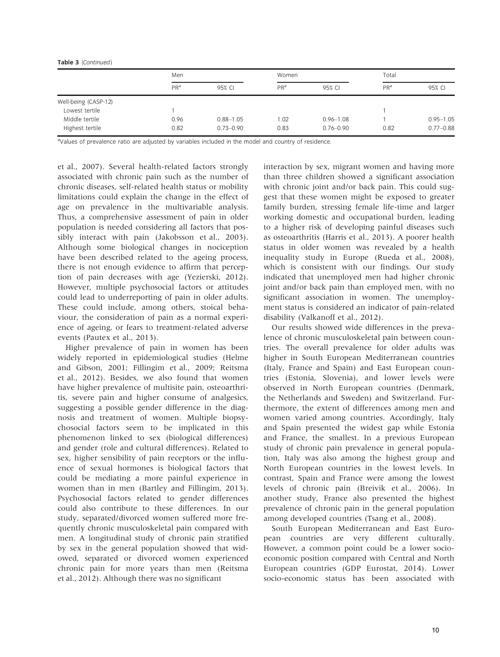Table 3 (Continued)

|                      | Men             |               | Women           |               | Total           |               |
|----------------------|-----------------|---------------|-----------------|---------------|-----------------|---------------|
|                      | PR <sup>a</sup> | 95% CI        | PR <sup>a</sup> | 95% CI        | PR <sup>a</sup> | 95% CI        |
| Well-being (CASP-12) |                 |               |                 |               |                 |               |
| Lowest tertile       |                 |               |                 |               |                 |               |
| Middle tertile       | 0.96            | $0.88 - 1.05$ | 1.02            | $0.96 - 1.08$ |                 | $0.95 - 1.05$ |
| Highest tertile      | 0.82            | $0.73 - 0.90$ | 0.83            | $0.76 - 0.90$ | 0.82            | $0.77 - 0.88$ |

aValues of prevalence ratio are adjusted by variables included in the model and country of residence.

et al., 2007). Several health-related factors strongly associated with chronic pain such as the number of chronic diseases, self-related health status or mobility limitations could explain the change in the effect of age on prevalence in the multivariable analysis. Thus, a comprehensive assessment of pain in older population is needed considering all factors that possibly interact with pain (Jakobsson et al., 2003). Although some biological changes in nociception have been described related to the ageing process, there is not enough evidence to affirm that perception of pain decreases with age (Yezierski, 2012). However, multiple psychosocial factors or attitudes could lead to underreporting of pain in older adults. These could include, among others, stoical behaviour, the consideration of pain as a normal experience of ageing, or fears to treatment-related adverse events (Pautex et al., 2013).

Higher prevalence of pain in women has been widely reported in epidemiological studies (Helme and Gibson, 2001; Fillingim et al., 2009; Reitsma et al., 2012). Besides, we also found that women have higher prevalence of multisite pain, osteoarthritis, severe pain and higher consume of analgesics, suggesting a possible gender difference in the diagnosis and treatment of women. Multiple biopsychosocial factors seem to be implicated in this phenomenon linked to sex (biological differences) and gender (role and cultural differences). Related to sex, higher sensibility of pain receptors or the influence of sexual hormones is biological factors that could be mediating a more painful experience in women than in men (Bartley and Fillingim, 2013). Psychosocial factors related to gender differences could also contribute to these differences. In our study, separated/divorced women suffered more frequently chronic musculoskeletal pain compared with men. A longitudinal study of chronic pain stratified by sex in the general population showed that widowed, separated or divorced women experienced chronic pain for more years than men (Reitsma et al., 2012). Although there was no significant

interaction by sex, migrant women and having more than three children showed a significant association with chronic joint and/or back pain. This could suggest that these women might be exposed to greater family burden, stressing female life-time and larger working domestic and occupational burden, leading to a higher risk of developing painful diseases such as osteoarthritis (Harris et al., 2013). A poorer health status in older women was revealed by a health inequality study in Europe (Rueda et al., 2008), which is consistent with our findings. Our study indicated that unemployed men had higher chronic joint and/or back pain than employed men, with no significant association in women. The unemployment status is considered an indicator of pain-related disability (Valkanoff et al., 2012).

Our results showed wide differences in the prevalence of chronic musculoskeletal pain between countries. The overall prevalence for older adults was higher in South European Mediterranean countries (Italy, France and Spain) and East European countries (Estonia, Slovenia), and lower levels were observed in North European countries (Denmark, the Netherlands and Sweden) and Switzerland. Furthermore, the extent of differences among men and women varied among countries. Accordingly, Italy and Spain presented the widest gap while Estonia and France, the smallest. In a previous European study of chronic pain prevalence in general population, Italy was also among the highest group and North European countries in the lowest levels. In contrast, Spain and France were among the lowest levels of chronic pain (Breivik et al., 2006). In another study, France also presented the highest prevalence of chronic pain in the general population among developed countries (Tsang et al., 2008).

South European Mediterranean and East European countries are very different culturally. However, a common point could be a lower socioeconomic position compared with Central and North European countries (GDP Eurostat, 2014). Lower socio-economic status has been associated with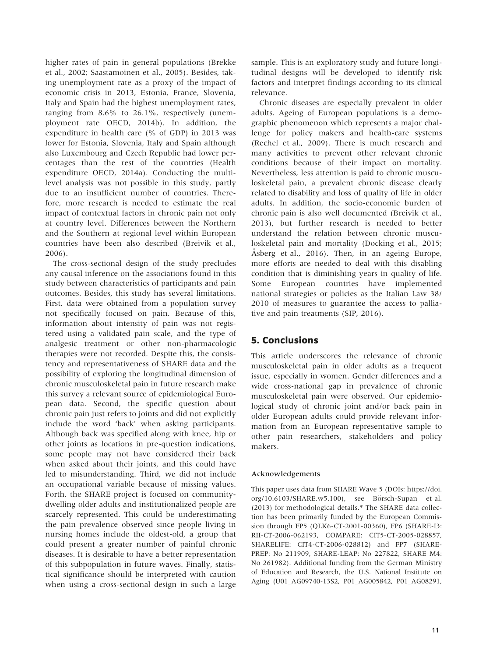higher rates of pain in general populations (Brekke et al., 2002; Saastamoinen et al., 2005). Besides, taking unemployment rate as a proxy of the impact of economic crisis in 2013, Estonia, France, Slovenia, Italy and Spain had the highest unemployment rates, ranging from 8.6% to 26.1%, respectively (unemployment rate OECD, 2014b). In addition, the expenditure in health care (% of GDP) in 2013 was lower for Estonia, Slovenia, Italy and Spain although also Luxembourg and Czech Republic had lower percentages than the rest of the countries (Health expenditure OECD, 2014a). Conducting the multilevel analysis was not possible in this study, partly due to an insufficient number of countries. Therefore, more research is needed to estimate the real impact of contextual factors in chronic pain not only at country level. Differences between the Northern and the Southern at regional level within European countries have been also described (Breivik et al., 2006).

The cross-sectional design of the study precludes any causal inference on the associations found in this study between characteristics of participants and pain outcomes. Besides, this study has several limitations. First, data were obtained from a population survey not specifically focused on pain. Because of this, information about intensity of pain was not registered using a validated pain scale, and the type of analgesic treatment or other non-pharmacologic therapies were not recorded. Despite this, the consistency and representativeness of SHARE data and the possibility of exploring the longitudinal dimension of chronic musculoskeletal pain in future research make this survey a relevant source of epidemiological European data. Second, the specific question about chronic pain just refers to joints and did not explicitly include the word 'back' when asking participants. Although back was specified along with knee, hip or other joints as locations in pre-question indications, some people may not have considered their back when asked about their joints, and this could have led to misunderstanding. Third, we did not include an occupational variable because of missing values. Forth, the SHARE project is focused on communitydwelling older adults and institutionalized people are scarcely represented. This could be underestimating the pain prevalence observed since people living in nursing homes include the oldest-old, a group that could present a greater number of painful chronic diseases. It is desirable to have a better representation of this subpopulation in future waves. Finally, statistical significance should be interpreted with caution when using a cross-sectional design in such a large sample. This is an exploratory study and future longitudinal designs will be developed to identify risk factors and interpret findings according to its clinical relevance.

Chronic diseases are especially prevalent in older adults. Ageing of European populations is a demographic phenomenon which represents a major challenge for policy makers and health-care systems (Rechel et al., 2009). There is much research and many activities to prevent other relevant chronic conditions because of their impact on mortality. Nevertheless, less attention is paid to chronic musculoskeletal pain, a prevalent chronic disease clearly related to disability and loss of quality of life in older adults. In addition, the socio-economic burden of chronic pain is also well documented (Breivik et al., 2013), but further research is needed to better understand the relation between chronic musculoskeletal pain and mortality (Docking et al., 2015; Asberg et al., 2016). Then, in an ageing Europe, more efforts are needed to deal with this disabling condition that is diminishing years in quality of life. Some European countries have implemented national strategies or policies as the Italian Law 38/ 2010 of measures to guarantee the access to palliative and pain treatments (SIP, 2016).

# 5. Conclusions

This article underscores the relevance of chronic musculoskeletal pain in older adults as a frequent issue, especially in women. Gender differences and a wide cross-national gap in prevalence of chronic musculoskeletal pain were observed. Our epidemiological study of chronic joint and/or back pain in older European adults could provide relevant information from an European representative sample to other pain researchers, stakeholders and policy makers.

### Acknowledgements

This paper uses data from SHARE Wave 5 (DOIs: [https://doi.](https://doi.org/10.6103/SHARE.w5.100) [org/10.6103/SHARE.w5.100\)](https://doi.org/10.6103/SHARE.w5.100), see Börsch-Supan et al. (2013) for methodological details.\* The SHARE data collection has been primarily funded by the European Commission through FP5 (QLK6-CT-2001-00360), FP6 (SHARE-I3: RII-CT-2006-062193, COMPARE: CIT5-CT-2005-028857, SHARELIFE: CIT4-CT-2006-028812) and FP7 (SHARE-PREP: No 211909, SHARE-LEAP: No 227822, SHARE M4: No 261982). Additional funding from the German Ministry of Education and Research, the U.S. National Institute on Aging (U01\_AG09740-13S2, P01\_AG005842, P01\_AG08291,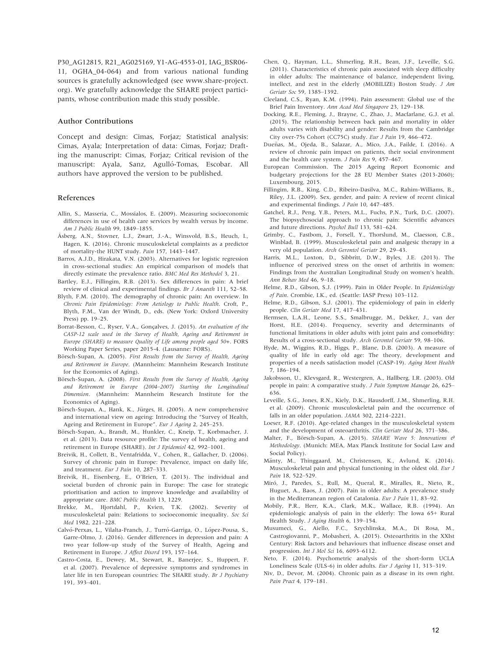P30\_AG12815, R21\_AG025169, Y1-AG-4553-01, IAG\_BSR06- 11, OGHA\_04-064) and from various national funding sources is gratefully acknowledged (see [www.share-project.](http://www.share-project.org) [org\)](http://www.share-project.org). We gratefully acknowledge the SHARE project participants, whose contribution made this study possible.

#### Author Contributions

Concept and design: Cimas, Forjaz; Statistical analysis: Cimas, Ayala; Interpretation of data: Cimas, Forjaz; Drafting the manuscript: Cimas, Forjaz; Critical revision of the manuscript: Ayala, Sanz, Agulló-Tomas, Escobar. All authors have approved the version to be published.

#### References

- differences in use of health care services by wealth versus by income. Am J Public Health 99, 1849–1855. Allin, S., Masseria, C., Mossialos, E. (2009). Measuring socioeconomic
- Asberg, A.N., Stovner, L.J., Zwart, J.-A., Winsvold, B.S., Heuch, I., Hagen, K. (2016). Chronic musculoskeletal complaints as a predictor of mortality-the HUNT study. Pain 157, 1443–1447.
- Barros, A.J.D., Hirakata, V.N. (2003). Alternatives for logistic regression in cross-sectional studies: An empirical comparison of models that directly estimate the prevalence ratio. BMC Med Res Methodol 3, 21.
- Bartley, E.J., Fillingim, R.B. (2013). Sex differences in pain: A brief review of clinical and experimental findings. Br J Anaesth 111, 52–58.
- Blyth, F.M. (2010). The demography of chronic pain: An overview. In Chronic Pain Epidemiology: From Aetiology to Public Health. Croft, P., Blyth, F.M., Van der Windt, D., eds. (New York: Oxford University Press) pp. 19–25.
- Borrat-Besson, C., Ryser, V.A., Goncalves, J. (2015). An evaluation of the CASP-12 scale used in the Survey of Health, Ageing and Retirement in Europe (SHARE) to measure Quality of Life among people aged 50+. FORS Working Paper Series, paper 2015-4. (Lausanne: FORS).
- Börsch-Supan, A. (2005). First Results from the Survey of Health, Ageing and Retirement in Europe. (Mannheim: Mannheim Research Institute for the Economics of Aging).
- Börsch-Supan, A. (2008). First Results from the Survey of Health, Ageing and Retirement in Europe (2004–2007) Starting the Longitudinal Dimension. (Mannheim: Mannheim Research Institute for the Economics of Aging).
- Börsch-Supan, A., Hank, K., Jürges, H. (2005). A new comprehensive and international view on ageing: Introducing the "Survey of Health, Ageing and Retirement in Europe". Eur J Ageing 2, 245–253.
- Börsch-Supan, A., Brandt, M., Hunkler, C., Kneip, T., Korbmacher, J. et al. (2013). Data resource profile: The survey of health, ageing and retirement in Europe (SHARE). Int J Epidemiol 42, 992–1001.
- Breivik, H., Collett, B., Ventafridda, V., Cohen, R., Gallacher, D. (2006). Survey of chronic pain in Europe: Prevalence, impact on daily life, and treatment. Eur J Pain 10, 287–333.
- Breivik, H., Eisenberg, E., O'Brien, T. (2013). The individual and societal burden of chronic pain in Europe: The case for strategic prioritisation and action to improve knowledge and availability of appropriate care. BMC Public Health 13, 1229.
- Brekke, M., Hjortdahl, P., Kvien, T.K. (2002). Severity of musculoskeletal pain: Relations to socioeconomic inequality. Soc Sci Med 1982, 221–228.
- Calvó-Perxas, L., Vilalta-Franch, J., Turró-Garriga, O., López-Pousa, S., Garre-Olmo, J. (2016). Gender differences in depression and pain: A two year follow-up study of the Survey of Health, Ageing and Retirement in Europe. J Affect Disord 193, 157–164.
- Castro-Costa, E., Dewey, M., Stewart, R., Banerjee, S., Huppert, F. et al. (2007). Prevalence of depressive symptoms and syndromes in later life in ten European countries: The SHARE study. Br J Psychiatry 191, 393–401.
- Chen, Q., Hayman, L.L., Shmerling, R.H., Bean, J.F., Leveille, S.G. (2011). Characteristics of chronic pain associated with sleep difficulty in older adults: The maintenance of balance, independent living, intellect, and zest in the elderly (MOBILIZE) Boston Study. J Am Geriatr Soc 59, 1385–1392.
- Cleeland, C.S., Ryan, K.M. (1994). Pain assessment: Global use of the Brief Pain Inventory. Ann Acad Med Singapore 23, 129–138.
- Docking, R.E., Fleming, J., Brayne, C., Zhao, J., Macfarlane, G.J. et al. (2015). The relationship between back pain and mortality in older adults varies with disability and gender: Results from the Cambridge City over-75s Cohort (CC75C) study. Eur J Pain 19, 466–472.
- Duenas, M., Ojeda, B., Salazar, A., Mico, J.A., Failde, I. (2016). A ~ review of chronic pain impact on patients, their social environment and the health care system. J Pain Res 9, 457–467.
- European Commission. The 2015 Ageing Report Economic and budgetary projections for the 28 EU Member States (2013-2060); Luxembourg, 2015.
- Fillingim, R.B., King, C.D., Ribeiro-Dasilva, M.C., Rahim-Williams, B., Riley, J.L. (2009). Sex, gender, and pain: A review of recent clinical and experimental findings. J Pain 10, 447–485.
- Gatchel, R.J., Peng, Y.B., Peters, M.L., Fuchs, P.N., Turk, D.C. (2007). The biopsychosocial approach to chronic pain: Scientific advances and future directions. Psychol Bull 133, 581–624.
- Grimby, C., Fastbom, J., Forsell, Y., Thorslund, M., Claesson, C.B., Winblad, B. (1999). Musculoskeletal pain and analgesic therapy in a very old population. Arch Gerontol Geriatr 29, 29–43.
- Harris, M.L., Loxton, D., Sibbritt, D.W., Byles, J.E. (2013). The influence of perceived stress on the onset of arthritis in women: Findings from the Australian Longitudinal Study on women's health. Ann Behav Med 46, 9–18.
- Helme, R.D., Gibson, S.J. (1999). Pain in Older People. In Epidemiology of Pain. Crombie, I.K., ed. (Seattle: IASP Press) 103–112.
- Helme, R.D., Gibson, S.J. (2001). The epidemiology of pain in elderly people. Clin Geriatr Med 17, 417–431.
- Hermsen, L.A.H., Leone, S.S., Smalbrugge, M., Dekker, J., van der Horst, H.E. (2014). Frequency, severity and determinants of functional limitations in older adults with joint pain and comorbidity: Results of a cross-sectional study. Arch Gerontol Geriatr 59, 98–106.
- Hyde, M., Wiggins, R.D., Higgs, P., Blane, D.B. (2003). A measure of quality of life in early old age: The theory, development and properties of a needs satisfaction model (CASP-19). Aging Ment Health 7, 186–194.
- Jakobsson, U., Klevsgard, R., Westergren, A., Hallberg, I.R. (2003). Old people in pain: A comparative study. J Pain Symptom Manage 26, 625– 636.
- Leveille, S.G., Jones, R.N., Kiely, D.K., Hausdorff, J.M., Shmerling, R.H. et al. (2009). Chronic musculoskeletal pain and the occurrence of falls in an older population. JAMA 302, 2214–2221.
- Loeser, R.F. (2010). Age-related changes in the musculoskeletal system and the development of osteoarthritis. Clin Geriatr Med 26, 371–386.
- Malter, F., Börsch-Supan, A. (2015). SHARE Wave 5: Innovations  $\theta$ Methodology. (Munich: MEA, Max Planck Institute for Social Law and Social Policy).
- Mänty, M., Thinggaard, M., Christensen, K., Aylund, K. (2014). Musculoskeletal pain and physical functioning in the oldest old. Eur J Pain 18, 522–529.
- Miró, J., Paredes, S., Rull, M., Queral, R., Miralles, R., Nieto, R., Huguet, A., Baos, J. (2007). Pain in older adults: A prevalence study in the Mediterranean region of Catalonia. Eur J Pain 11, 83–92.
- Mobily, P.R., Herr, K.A., Clark, M.K., Wallace, R.B. (1994). An epidemiologic analysis of pain in the elderly: The Iowa 65+ Rural Health Study. J Aging Health 6, 139–154.
- Musumeci, G., Aiello, F.C., Szychlinska, M.A., Di Rosa, M., Castrogiovanni, P., Mobasheri, A. (2015). Osteoarthritis in the XXIst Century: Risk factors and behaviours that influence disease onset and progression. Int J Mol Sci 16, 6093–6112.
- Neto, F. (2014). Psychometric analysis of the short-form UCLA Loneliness Scale (ULS-6) in older adults. Eur J Ageing 11, 313–319.
- Niv, D., Devor, M. (2004). Chronic pain as a disease in its own right. Pain Pract 4, 179–181.